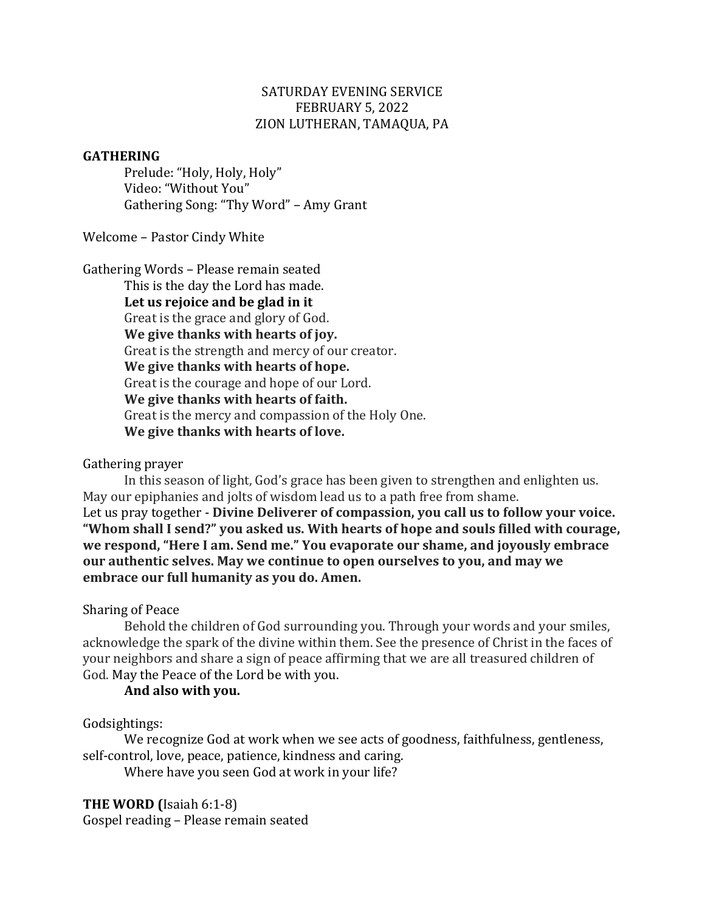## SATURDAY EVENING SERVICE FEBRUARY 5, 2022 ZION LUTHERAN, TAMAQUA, PA

#### **GATHERING**

Prelude: "Holy, Holy, Holy" Video: "Without You" Gathering Song: "Thy Word" - Amy Grant

Welcome - Pastor Cindy White

Gathering Words - Please remain seated

This is the day the Lord has made. Let us rejoice and be glad in it Great is the grace and glory of God. **We give thanks with hearts of joy.** Great is the strength and mercy of our creator. **We give thanks with hearts of hope.** Great is the courage and hope of our Lord. **We give thanks with hearts of faith.** Great is the mercy and compassion of the Holy One. **We give thanks with hearts of love.**

### Gathering prayer

In this season of light, God's grace has been given to strengthen and enlighten us. May our epiphanies and jolts of wisdom lead us to a path free from shame. Let us pray together - **Divine Deliverer of compassion, you call us to follow your voice.** "Whom shall I send?" you asked us. With hearts of hope and souls filled with courage, we respond, "Here I am. Send me." You evaporate our shame, and joyously embrace **our authentic selves. May we continue to open ourselves to you, and may we embrace our full humanity as you do. Amen.** 

### Sharing of Peace

Behold the children of God surrounding you. Through your words and your smiles, acknowledge the spark of the divine within them. See the presence of Christ in the faces of your neighbors and share a sign of peace affirming that we are all treasured children of God. May the Peace of the Lord be with you.

#### **And also with you.**

### Godsightings:

We recognize God at work when we see acts of goodness, faithfulness, gentleness, self-control, love, peace, patience, kindness and caring.

Where have you seen God at work in your life?

## **THE WORD (Isaiah 6:1-8)**

Gospel reading - Please remain seated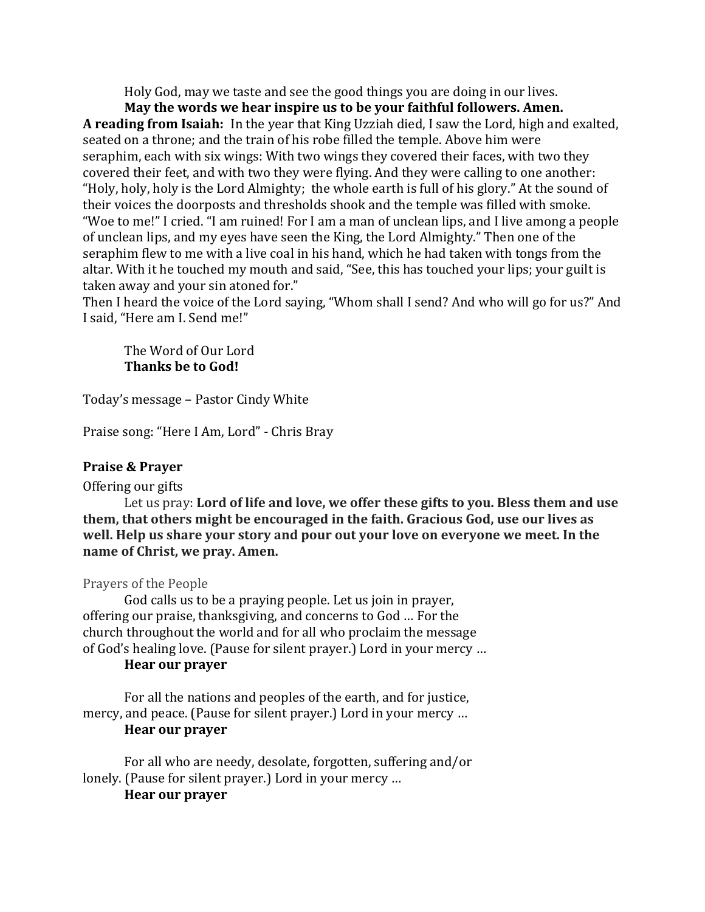Holy God, may we taste and see the good things you are doing in our lives.

May the words we hear inspire us to be your faithful followers. Amen. A reading from Isaiah: In the year that King Uzziah died, I saw the Lord, high and exalted, seated on a throne; and the train of his robe filled the temple. Above him were seraphim, each with six wings: With two wings they covered their faces, with two they covered their feet, and with two they were flying. And they were calling to one another: "Holy, holy, holy is the Lord Almighty; the whole earth is full of his glory." At the sound of their voices the doorposts and thresholds shook and the temple was filled with smoke. "Woe to me!" I cried. "I am ruined! For I am a man of unclean lips, and I live among a people of unclean lips, and my eyes have seen the King, the Lord Almighty." Then one of the seraphim flew to me with a live coal in his hand, which he had taken with tongs from the altar. With it he touched my mouth and said, "See, this has touched your lips; your guilt is taken away and your sin atoned for."

Then I heard the voice of the Lord saying, "Whom shall I send? And who will go for us?" And I said, "Here am I. Send me!"

The Word of Our Lord **Thanks be to God!** 

Today's message – Pastor Cindy White

Praise song: "Here I Am, Lord" - Chris Bray

### **Praise & Prayer**

### Offering our gifts

Let us pray: Lord of life and love, we offer these gifts to you. Bless them and use **them, that others might be encouraged in the faith. Gracious God, use our lives as well.** Help us share your story and pour out your love on everyone we meet. In the **name of Christ, we pray. Amen.** 

Prayers of the People

God calls us to be a praying people. Let us join in prayer, offering our praise, thanksgiving, and concerns to God ... For the church throughout the world and for all who proclaim the message of God's healing love. (Pause for silent prayer.) Lord in your mercy ...

## **Hear our prayer**

For all the nations and peoples of the earth, and for justice, mercy, and peace. (Pause for silent prayer.) Lord in your mercy ... **Hear our praver** 

For all who are needy, desolate, forgotten, suffering and/or lonely. (Pause for silent prayer.) Lord in your mercy ...

## **Hear our prayer**